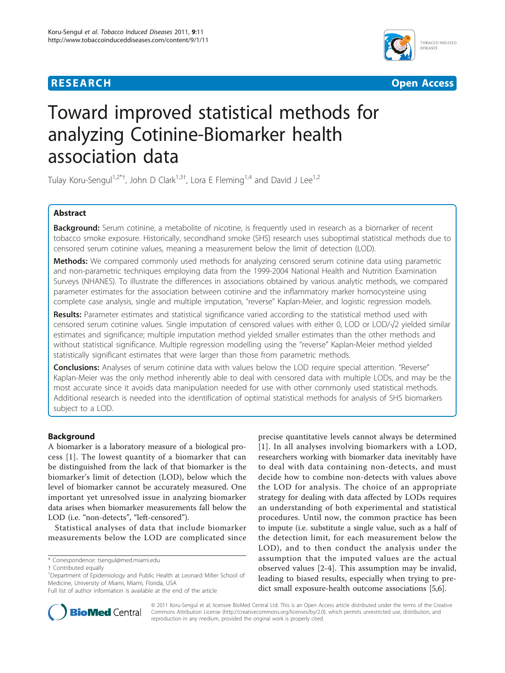



# Toward improved statistical methods for analyzing Cotinine-Biomarker health association data

Tulay Koru-Sengul<sup>1,2\*†</sup>, John D Clark<sup>1,3†</sup>, Lora E Fleming<sup>1,4</sup> and David J Lee<sup>1,2</sup>

# Abstract

**Background:** Serum cotinine, a metabolite of nicotine, is frequently used in research as a biomarker of recent tobacco smoke exposure. Historically, secondhand smoke (SHS) research uses suboptimal statistical methods due to censored serum cotinine values, meaning a measurement below the limit of detection (LOD).

Methods: We compared commonly used methods for analyzing censored serum cotinine data using parametric and non-parametric techniques employing data from the 1999-2004 National Health and Nutrition Examination Surveys (NHANES). To illustrate the differences in associations obtained by various analytic methods, we compared parameter estimates for the association between cotinine and the inflammatory marker homocysteine using complete case analysis, single and multiple imputation, "reverse" Kaplan-Meier, and logistic regression models.

Results: Parameter estimates and statistical significance varied according to the statistical method used with censored serum cotinine values. Single imputation of censored values with either 0, LOD or LOD/√2 yielded similar estimates and significance; multiple imputation method yielded smaller estimates than the other methods and without statistical significance. Multiple regression modelling using the "reverse" Kaplan-Meier method yielded statistically significant estimates that were larger than those from parametric methods.

**Conclusions:** Analyses of serum cotinine data with values below the LOD require special attention. "Reverse" Kaplan-Meier was the only method inherently able to deal with censored data with multiple LODs, and may be the most accurate since it avoids data manipulation needed for use with other commonly used statistical methods. Additional research is needed into the identification of optimal statistical methods for analysis of SHS biomarkers subject to a LOD.

# Background

A biomarker is a laboratory measure of a biological process [[1](#page-4-0)]. The lowest quantity of a biomarker that can be distinguished from the lack of that biomarker is the biomarker's limit of detection (LOD), below which the level of biomarker cannot be accurately measured. One important yet unresolved issue in analyzing biomarker data arises when biomarker measurements fall below the LOD (i.e. "non-detects", "left-censored").

Statistical analyses of data that include biomarker measurements below the LOD are complicated since

precise quantitative levels cannot always be determined [[1](#page-4-0)]. In all analyses involving biomarkers with a LOD, researchers working with biomarker data inevitably have to deal with data containing non-detects, and must decide how to combine non-detects with values above the LOD for analysis. The choice of an appropriate strategy for dealing with data affected by LODs requires an understanding of both experimental and statistical procedures. Until now, the common practice has been to impute (i.e. substitute a single value, such as a half of the detection limit, for each measurement below the LOD), and to then conduct the analysis under the assumption that the imputed values are the actual observed values [[2-4\]](#page-4-0). This assumption may be invalid, leading to biased results, especially when trying to predict small exposure-health outcome associations [\[5](#page-4-0),[6](#page-4-0)].



© 2011 Koru-Sengul et al; licensee BioMed Central Ltd. This is an Open Access article distributed under the terms of the Creative Commons Attribution License [\(http://creativecommons.org/licenses/by/2.0](http://creativecommons.org/licenses/by/2.0)), which permits unrestricted use, distribution, and reproduction in any medium, provided the original work is properly cited.

<sup>\*</sup> Correspondence: [tsengul@med.miami.edu](mailto:tsengul@med.miami.edu)

<sup>†</sup> Contributed equally <sup>1</sup>

<sup>&</sup>lt;sup>1</sup>Department of Epidemiology and Public Health at Leonard Miller School of Medicine, University of Miami, Miami, Florida, USA

Full list of author information is available at the end of the article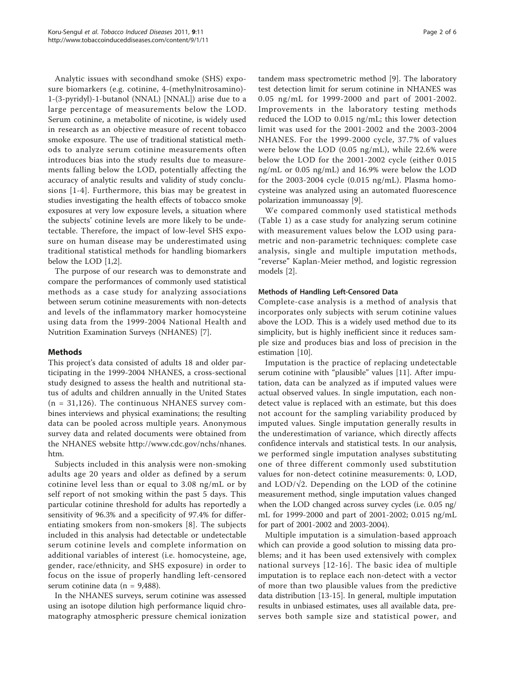Analytic issues with secondhand smoke (SHS) exposure biomarkers (e.g. cotinine, 4-(methylnitrosamino)- 1-(3-pyridyl)-1-butanol (NNAL) [NNAL]) arise due to a large percentage of measurements below the LOD. Serum cotinine, a metabolite of nicotine, is widely used in research as an objective measure of recent tobacco smoke exposure. The use of traditional statistical methods to analyze serum cotinine measurements often introduces bias into the study results due to measurements falling below the LOD, potentially affecting the accuracy of analytic results and validity of study conclusions [[1-4\]](#page-4-0). Furthermore, this bias may be greatest in studies investigating the health effects of tobacco smoke exposures at very low exposure levels, a situation where the subjects' cotinine levels are more likely to be undetectable. Therefore, the impact of low-level SHS exposure on human disease may be underestimated using traditional statistical methods for handling biomarkers below the LOD [[1](#page-4-0),[2](#page-4-0)].

The purpose of our research was to demonstrate and compare the performances of commonly used statistical methods as a case study for analyzing associations between serum cotinine measurements with non-detects and levels of the inflammatory marker homocysteine using data from the 1999-2004 National Health and Nutrition Examination Surveys (NHANES) [\[7](#page-4-0)].

# Methods

This project's data consisted of adults 18 and older participating in the 1999-2004 NHANES, a cross-sectional study designed to assess the health and nutritional status of adults and children annually in the United States  $(n = 31,126)$ . The continuous NHANES survey combines interviews and physical examinations; the resulting data can be pooled across multiple years. Anonymous survey data and related documents were obtained from the NHANES website [http://www.cdc.gov/nchs/nhanes.](http://www.cdc.gov/nchs/nhanes.htm) [htm](http://www.cdc.gov/nchs/nhanes.htm).

Subjects included in this analysis were non-smoking adults age 20 years and older as defined by a serum cotinine level less than or equal to 3.08 ng/mL or by self report of not smoking within the past 5 days. This particular cotinine threshold for adults has reportedly a sensitivity of 96.3% and a specificity of 97.4% for differentiating smokers from non-smokers [\[8](#page-4-0)]. The subjects included in this analysis had detectable or undetectable serum cotinine levels and complete information on additional variables of interest (i.e. homocysteine, age, gender, race/ethnicity, and SHS exposure) in order to focus on the issue of properly handling left-censored serum cotinine data (n = 9,488).

In the NHANES surveys, serum cotinine was assessed using an isotope dilution high performance liquid chromatography atmospheric pressure chemical ionization

tandem mass spectrometric method [\[9](#page-5-0)]. The laboratory test detection limit for serum cotinine in NHANES was 0.05 ng/mL for 1999-2000 and part of 2001-2002. Improvements in the laboratory testing methods reduced the LOD to 0.015 ng/mL; this lower detection limit was used for the 2001-2002 and the 2003-2004 NHANES. For the 1999-2000 cycle, 37.7% of values were below the LOD (0.05 ng/mL), while 22.6% were below the LOD for the 2001-2002 cycle (either 0.015 ng/mL or 0.05 ng/mL) and 16.9% were below the LOD for the 2003-2004 cycle (0.015 ng/mL). Plasma homocysteine was analyzed using an automated fluorescence polarization immunoassay [[9\]](#page-5-0).

We compared commonly used statistical methods (Table [1\)](#page-2-0) as a case study for analyzing serum cotinine with measurement values below the LOD using parametric and non-parametric techniques: complete case analysis, single and multiple imputation methods, "reverse" Kaplan-Meier method, and logistic regression models [\[2](#page-4-0)].

# Methods of Handling Left-Censored Data

Complete-case analysis is a method of analysis that incorporates only subjects with serum cotinine values above the LOD. This is a widely used method due to its simplicity, but is highly inefficient since it reduces sample size and produces bias and loss of precision in the estimation [[10](#page-5-0)].

Imputation is the practice of replacing undetectable serum cotinine with "plausible" values [\[11](#page-5-0)]. After imputation, data can be analyzed as if imputed values were actual observed values. In single imputation, each nondetect value is replaced with an estimate, but this does not account for the sampling variability produced by imputed values. Single imputation generally results in the underestimation of variance, which directly affects confidence intervals and statistical tests. In our analysis, we performed single imputation analyses substituting one of three different commonly used substitution values for non-detect cotinine measurements: 0, LOD, and  $LOD/\sqrt{2}$ . Depending on the LOD of the cotinine measurement method, single imputation values changed when the LOD changed across survey cycles (i.e. 0.05 ng/ mL for 1999-2000 and part of 2001-2002; 0.015 ng/mL for part of 2001-2002 and 2003-2004).

Multiple imputation is a simulation-based approach which can provide a good solution to missing data problems; and it has been used extensively with complex national surveys [[12](#page-5-0)-[16](#page-5-0)]. The basic idea of multiple imputation is to replace each non-detect with a vector of more than two plausible values from the predictive data distribution [[13-15\]](#page-5-0). In general, multiple imputation results in unbiased estimates, uses all available data, preserves both sample size and statistical power, and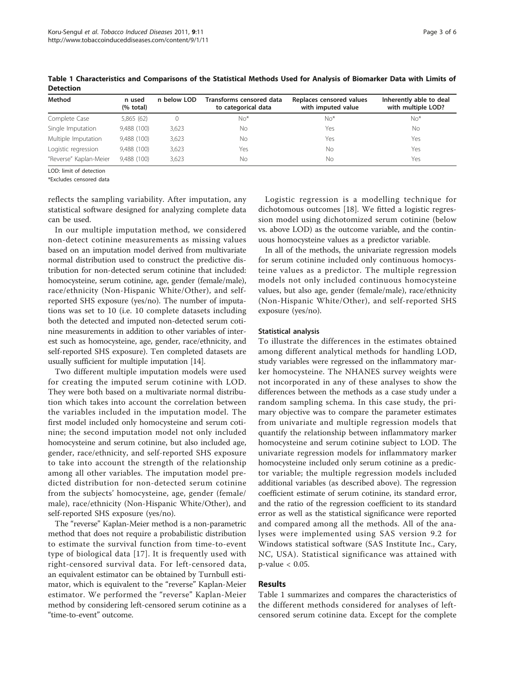| Method                 | n used<br>$(% \mathcal{L}_{0}^{\ast} \mathcal{L}_{1})$ (% total) | n below LOD | Transforms censored data<br>to categorical data | Replaces censored values<br>with imputed value | Inherently able to deal<br>with multiple LOD? |
|------------------------|------------------------------------------------------------------|-------------|-------------------------------------------------|------------------------------------------------|-----------------------------------------------|
| Complete Case          | 5,865 (62)                                                       |             | $No*$                                           | $No*$                                          | No*                                           |
| Single Imputation      | 9,488 (100)                                                      | 3,623       | No                                              | Yes                                            | No.                                           |
| Multiple Imputation    | 9,488 (100)                                                      | 3,623       | No                                              | Yes                                            | Yes                                           |
| Logistic regression    | 9,488 (100)                                                      | 3,623       | Yes                                             | Nο                                             | Yes                                           |
| "Reverse" Kaplan-Meier | 9,488 (100)                                                      | 3.623       | No                                              | Nο                                             | Yes                                           |

<span id="page-2-0"></span>Table 1 Characteristics and Comparisons of the Statistical Methods Used for Analysis of Biomarker Data with Limits of **Detection** 

LOD: limit of detection

\*Excludes censored data

reflects the sampling variability. After imputation, any statistical software designed for analyzing complete data can be used.

In our multiple imputation method, we considered non-detect cotinine measurements as missing values based on an imputation model derived from multivariate normal distribution used to construct the predictive distribution for non-detected serum cotinine that included: homocysteine, serum cotinine, age, gender (female/male), race/ethnicity (Non-Hispanic White/Other), and selfreported SHS exposure (yes/no). The number of imputations was set to 10 (i.e. 10 complete datasets including both the detected and imputed non-detected serum cotinine measurements in addition to other variables of interest such as homocysteine, age, gender, race/ethnicity, and self-reported SHS exposure). Ten completed datasets are usually sufficient for multiple imputation [[14](#page-5-0)].

Two different multiple imputation models were used for creating the imputed serum cotinine with LOD. They were both based on a multivariate normal distribution which takes into account the correlation between the variables included in the imputation model. The first model included only homocysteine and serum cotinine; the second imputation model not only included homocysteine and serum cotinine, but also included age, gender, race/ethnicity, and self-reported SHS exposure to take into account the strength of the relationship among all other variables. The imputation model predicted distribution for non-detected serum cotinine from the subjects' homocysteine, age, gender (female/ male), race/ethnicity (Non-Hispanic White/Other), and self-reported SHS exposure (yes/no).

The "reverse" Kaplan-Meier method is a non-parametric method that does not require a probabilistic distribution to estimate the survival function from time-to-event type of biological data [[17](#page-5-0)]. It is frequently used with right-censored survival data. For left-censored data, an equivalent estimator can be obtained by Turnbull estimator, which is equivalent to the "reverse" Kaplan-Meier estimator. We performed the "reverse" Kaplan-Meier method by considering left-censored serum cotinine as a "time-to-event" outcome.

Logistic regression is a modelling technique for dichotomous outcomes [\[18](#page-5-0)]. We fitted a logistic regression model using dichotomized serum cotinine (below vs. above LOD) as the outcome variable, and the continuous homocysteine values as a predictor variable.

In all of the methods, the univariate regression models for serum cotinine included only continuous homocysteine values as a predictor. The multiple regression models not only included continuous homocysteine values, but also age, gender (female/male), race/ethnicity (Non-Hispanic White/Other), and self-reported SHS exposure (yes/no).

#### Statistical analysis

To illustrate the differences in the estimates obtained among different analytical methods for handling LOD, study variables were regressed on the inflammatory marker homocysteine. The NHANES survey weights were not incorporated in any of these analyses to show the differences between the methods as a case study under a random sampling schema. In this case study, the primary objective was to compare the parameter estimates from univariate and multiple regression models that quantify the relationship between inflammatory marker homocysteine and serum cotinine subject to LOD. The univariate regression models for inflammatory marker homocysteine included only serum cotinine as a predictor variable; the multiple regression models included additional variables (as described above). The regression coefficient estimate of serum cotinine, its standard error, and the ratio of the regression coefficient to its standard error as well as the statistical significance were reported and compared among all the methods. All of the analyses were implemented using SAS version 9.2 for Windows statistical software (SAS Institute Inc., Cary, NC, USA). Statistical significance was attained with p-value < 0.05.

#### Results

Table 1 summarizes and compares the characteristics of the different methods considered for analyses of leftcensored serum cotinine data. Except for the complete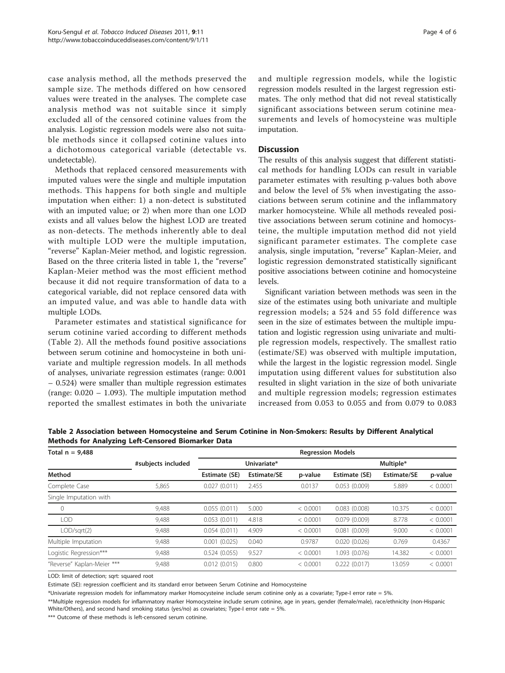case analysis method, all the methods preserved the sample size. The methods differed on how censored values were treated in the analyses. The complete case analysis method was not suitable since it simply excluded all of the censored cotinine values from the analysis. Logistic regression models were also not suitable methods since it collapsed cotinine values into a dichotomous categorical variable (detectable vs. undetectable).

Methods that replaced censored measurements with imputed values were the single and multiple imputation methods. This happens for both single and multiple imputation when either: 1) a non-detect is substituted with an imputed value; or 2) when more than one LOD exists and all values below the highest LOD are treated as non-detects. The methods inherently able to deal with multiple LOD were the multiple imputation, "reverse" Kaplan-Meier method, and logistic regression. Based on the three criteria listed in table [1](#page-2-0), the "reverse" Kaplan-Meier method was the most efficient method because it did not require transformation of data to a categorical variable, did not replace censored data with an imputed value, and was able to handle data with multiple LODs.

Parameter estimates and statistical significance for serum cotinine varied according to different methods (Table 2). All the methods found positive associations between serum cotinine and homocysteine in both univariate and multiple regression models. In all methods of analyses, univariate regression estimates (range: 0.001 – 0.524) were smaller than multiple regression estimates (range: 0.020 – 1.093). The multiple imputation method reported the smallest estimates in both the univariate and multiple regression models, while the logistic regression models resulted in the largest regression estimates. The only method that did not reveal statistically significant associations between serum cotinine measurements and levels of homocysteine was multiple imputation.

## **Discussion**

The results of this analysis suggest that different statistical methods for handling LODs can result in variable parameter estimates with resulting p-values both above and below the level of 5% when investigating the associations between serum cotinine and the inflammatory marker homocysteine. While all methods revealed positive associations between serum cotinine and homocysteine, the multiple imputation method did not yield significant parameter estimates. The complete case analysis, single imputation, "reverse" Kaplan-Meier, and logistic regression demonstrated statistically significant positive associations between cotinine and homocysteine levels.

Significant variation between methods was seen in the size of the estimates using both univariate and multiple regression models; a 524 and 55 fold difference was seen in the size of estimates between the multiple imputation and logistic regression using univariate and multiple regression models, respectively. The smallest ratio (estimate/SE) was observed with multiple imputation, while the largest in the logistic regression model. Single imputation using different values for substitution also resulted in slight variation in the size of both univariate and multiple regression models; regression estimates increased from 0.053 to 0.055 and from 0.079 to 0.083

| nivensus ivi hiidijanig avit vensulva sivinantei sata |                    |                          |             |          |               |             |          |  |  |  |
|-------------------------------------------------------|--------------------|--------------------------|-------------|----------|---------------|-------------|----------|--|--|--|
| Total $n = 9,488$                                     |                    | <b>Regression Models</b> |             |          |               |             |          |  |  |  |
|                                                       | #subjects included | Univariate*              |             |          | Multiple*     |             |          |  |  |  |
| <b>Method</b>                                         |                    | Estimate (SE)            | Estimate/SE | p-value  | Estimate (SE) | Estimate/SE | p-value  |  |  |  |
| Complete Case                                         | 5,865              | 0.027(0.011)             | 2.455       | 0.0137   | 0.053(0.009)  | 5.889       | < 0.0001 |  |  |  |
| Single Imputation with                                |                    |                          |             |          |               |             |          |  |  |  |
| 0                                                     | 9,488              | 0.055(0.011)             | 5.000       | < 0.0001 | 0.083(0.008)  | 10.375      | < 0.0001 |  |  |  |
| <b>LOD</b>                                            | 9,488              | 0.053(0.011)             | 4.818       | < 0.0001 | 0.079(0.009)  | 8.778       | < 0.0001 |  |  |  |
| LOD/sqrt(2)                                           | 9,488              | 0.054(0.011)             | 4.909       | < 0.0001 | 0.081(0.009)  | 9.000       | < 0.0001 |  |  |  |
| Multiple Imputation                                   | 9,488              | 0.001(0.025)             | 0.040       | 0.9787   | 0.020(0.026)  | 0.769       | 0.4367   |  |  |  |
| Logistic Regression***                                | 9,488              | 0.524(0.055)             | 9.527       | < 0.0001 | 1.093 (0.076) | 14.382      | < 0.0001 |  |  |  |
| "Reverse" Kaplan-Meier ***                            | 9,488              | 0.012(0.015)             | 0.800       | < 0.0001 | 0.222(0.017)  | 13.059      | < 0.0001 |  |  |  |

Table 2 Association between Homocysteine and Serum Cotinine in Non-Smokers: Results by Different Analytical Methods for Analyzing Left-Censored Biomarker Data

LOD: limit of detection; sqrt: squared root

Estimate (SE): regression coefficient and its standard error between Serum Cotinine and Homocysteine

\*Univariate regression models for inflammatory marker Homocysteine include serum cotinine only as a covariate; Type-I error rate = 5%.

\*\*Multiple regression models for inflammatory marker Homocysteine include serum cotinine, age in years, gender (female/male), race/ethnicity (non-Hispanic White/Others), and second hand smoking status (yes/no) as covariates; Type-I error rate = 5%.

\*\*\* Outcome of these methods is left-censored serum cotinine.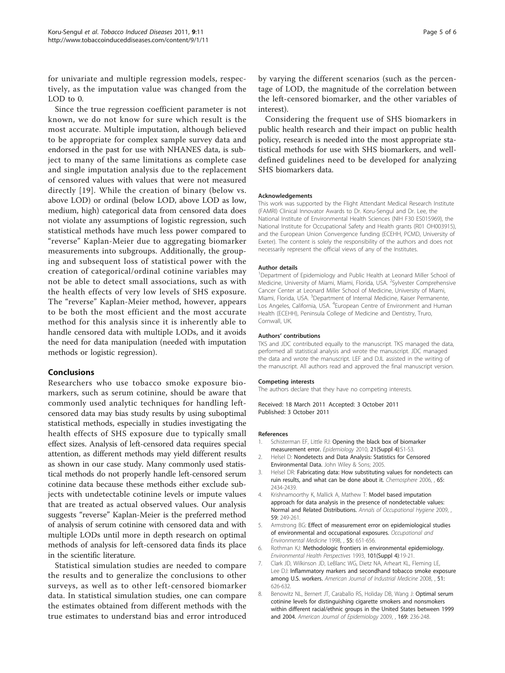<span id="page-4-0"></span>for univariate and multiple regression models, respectively, as the imputation value was changed from the LOD to 0.

Since the true regression coefficient parameter is not known, we do not know for sure which result is the most accurate. Multiple imputation, although believed to be appropriate for complex sample survey data and endorsed in the past for use with NHANES data, is subject to many of the same limitations as complete case and single imputation analysis due to the replacement of censored values with values that were not measured directly [[19](#page-5-0)]. While the creation of binary (below vs. above LOD) or ordinal (below LOD, above LOD as low, medium, high) categorical data from censored data does not violate any assumptions of logistic regression, such statistical methods have much less power compared to "reverse" Kaplan-Meier due to aggregating biomarker measurements into subgroups. Additionally, the grouping and subsequent loss of statistical power with the creation of categorical/ordinal cotinine variables may not be able to detect small associations, such as with the health effects of very low levels of SHS exposure. The "reverse" Kaplan-Meier method, however, appears to be both the most efficient and the most accurate method for this analysis since it is inherently able to handle censored data with multiple LODs, and it avoids the need for data manipulation (needed with imputation methods or logistic regression).

# Conclusions

Researchers who use tobacco smoke exposure biomarkers, such as serum cotinine, should be aware that commonly used analytic techniques for handling leftcensored data may bias study results by using suboptimal statistical methods, especially in studies investigating the health effects of SHS exposure due to typically small effect sizes. Analysis of left-censored data requires special attention, as different methods may yield different results as shown in our case study. Many commonly used statistical methods do not properly handle left-censored serum cotinine data because these methods either exclude subjects with undetectable cotinine levels or impute values that are treated as actual observed values. Our analysis suggests "reverse" Kaplan-Meier is the preferred method of analysis of serum cotinine with censored data and with multiple LODs until more in depth research on optimal methods of analysis for left-censored data finds its place in the scientific literature.

Statistical simulation studies are needed to compare the results and to generalize the conclusions to other surveys, as well as to other left-censored biomarker data. In statistical simulation studies, one can compare the estimates obtained from different methods with the true estimates to understand bias and error introduced by varying the different scenarios (such as the percentage of LOD, the magnitude of the correlation between the left-censored biomarker, and the other variables of interest).

Considering the frequent use of SHS biomarkers in public health research and their impact on public health policy, research is needed into the most appropriate statistical methods for use with SHS biomarkers, and welldefined guidelines need to be developed for analyzing SHS biomarkers data.

#### Acknowledgements

This work was supported by the Flight Attendant Medical Research Institute (FAMRI) Clinical Innovator Awards to Dr. Koru-Sengul and Dr. Lee, the National Institute of Environmental Health Sciences (NIH F30 ES015969), the National Institute for Occupational Safety and Health grants (R01 OH003915), and the European Union Convergence funding (ECEHH, PCMD, University of Exeter). The content is solely the responsibility of the authors and does not necessarily represent the official views of any of the Institutes.

#### Author details

<sup>1</sup>Department of Epidemiology and Public Health at Leonard Miller School of Medicine, University of Miami, Miami, Florida, USA. <sup>2</sup>Sylvester Comprehensive Cancer Center at Leonard Miller School of Medicine, University of Miami, Miami, Florida, USA.<sup>3</sup> Department of Internal Medicine, Kaiser Permanente, Los Angeles, California, USA. <sup>4</sup>European Centre of Environment and Human Health (ECEHH), Peninsula College of Medicine and Dentistry, Truro, Cornwall, UK.

#### Authors' contributions

TKS and JDC contributed equally to the manuscript. TKS managed the data, performed all statistical analysis and wrote the manuscript. JDC managed the data and wrote the manuscript. LEF and DJL assisted in the writing of the manuscript. All authors read and approved the final manuscript version.

#### Competing interests

The authors declare that they have no competing interests.

Received: 18 March 2011 Accepted: 3 October 2011 Published: 3 October 2011

#### References

- 1. Schisterman EF, Little RJ: [Opening the black box of biomarker](http://www.ncbi.nlm.nih.gov/pubmed/20539119?dopt=Abstract) [measurement error.](http://www.ncbi.nlm.nih.gov/pubmed/20539119?dopt=Abstract) Epidemiology 2010, 21(Suppl 4):S1-S3.
- 2. Helsel D: Nondetects and Data Analysis: Statistics for Censored Environmental Data. John Wiley & Sons; 2005.
- 3. Helsel DR: Fabricating data: How substituting values for nondetects can ruin results, and what can be done about it. Chemosphere 2006, , 65: 2434-2439.
- 4. Krishnamoorthy K, Mallick A, Mathew T: Model based imputation approach for data analysis in the presence of nondetectable values: Normal and Related Distributions. Annals of Occupational Hygiene 2009, 59: 249-261.
- 5. Armstrong BG: Effect of measurement error on epidemiological studies of environmental and occupational exposures. Occupational and Environmental Medicine 1998, , 55: 651-656.
- 6. Rothman KJ: [Methodologic frontiers in environmental epidemiology.](http://www.ncbi.nlm.nih.gov/pubmed/8206029?dopt=Abstract) Environmental Health Perspectives 1993, 101(Suppl 4):19-21
- 7. Clark JD, Wilkinson JD, LeBlanc WG, Dietz NA, Arheart KL, Fleming LE, Lee DJ: Inflammatory markers and secondhand tobacco smoke exposure among U.S. workers. American Journal of Industrial Medicine 2008, , 51: 626-632.
- 8. Benowitz NL, Bernert JT, Caraballo RS, Holiday DB, Wang J: Optimal serum cotinine levels for distinguishing cigarette smokers and nonsmokers within different racial/ethnic groups in the United States between 1999 and 2004. American Journal of Epidemiology 2009, , 169: 236-248.